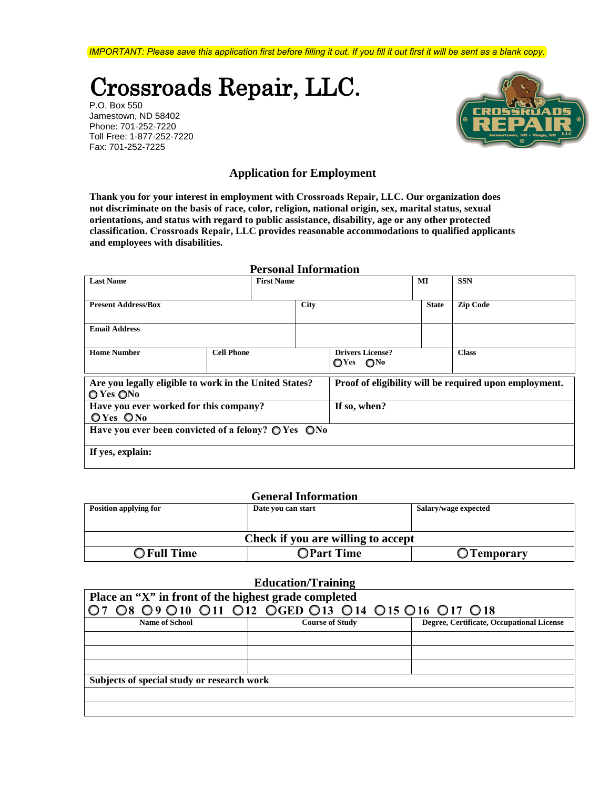*IMPORTANT: Please save this application first before filling it out. If you fill it out first it will be sent as a blank copy.*

# Crossroads Repair, LLC.

P.O. Box 550 Jamestown, ND 58402 Phone: 701-252-7220 Toll Free: 1-877-252-7220 Fax: 701-252-7225



## **Application for Employment**

**Thank you for your interest in employment with Crossroads Repair, LLC. Our organization does not discriminate on the basis of race, color, religion, national origin, sex, marital status, sexual orientations, and status with regard to public assistance, disability, age or any other protected classification. Crossroads Repair, LLC provides reasonable accommodations to qualified applicants and employees with disabilities.** 

| <b>Personal Information</b>                                            |                   |             |                                                         |              |                                                        |
|------------------------------------------------------------------------|-------------------|-------------|---------------------------------------------------------|--------------|--------------------------------------------------------|
| <b>Last Name</b>                                                       | <b>First Name</b> |             |                                                         | MI           | <b>SSN</b>                                             |
|                                                                        |                   |             |                                                         |              |                                                        |
| <b>Present Address/Box</b>                                             |                   | <b>City</b> |                                                         | <b>State</b> | <b>Zip Code</b>                                        |
| <b>Email Address</b>                                                   |                   |             |                                                         |              |                                                        |
|                                                                        |                   |             |                                                         |              |                                                        |
| <b>Home Number</b>                                                     | <b>Cell Phone</b> |             | <b>Drivers License?</b><br>$\bigcirc$ Yes $\bigcirc$ No |              | <b>Class</b>                                           |
| Are you legally eligible to work in the United States?<br>O Yes ONo    |                   |             |                                                         |              | Proof of eligibility will be required upon employment. |
| Have you ever worked for this company?                                 |                   |             | If so, when?                                            |              |                                                        |
| OYes ONo                                                               |                   |             |                                                         |              |                                                        |
| Have you ever been convicted of a felony? $\bigcirc$ Yes $\bigcirc$ No |                   |             |                                                         |              |                                                        |
| If yes, explain:                                                       |                   |             |                                                         |              |                                                        |

#### **General Information**

| ochel al milol macon               |                    |                      |  |  |
|------------------------------------|--------------------|----------------------|--|--|
| Position applying for              | Date vou can start | Salary/wage expected |  |  |
|                                    |                    |                      |  |  |
|                                    |                    |                      |  |  |
|                                    |                    |                      |  |  |
|                                    |                    |                      |  |  |
| Check if you are willing to accept |                    |                      |  |  |
| <b>O</b> Full Time                 | <b>OPart Time</b>  |                      |  |  |
|                                    |                    | O Temporary          |  |  |

### **Education/Training**

| Place an "X" in front of the highest grade completed |                        |                                           |  |  |
|------------------------------------------------------|------------------------|-------------------------------------------|--|--|
| 07 08 09 010 011 012 OGED 013 014 015 016 017 018    |                        |                                           |  |  |
| <b>Name of School</b>                                | <b>Course of Study</b> | Degree, Certificate, Occupational License |  |  |
|                                                      |                        |                                           |  |  |
|                                                      |                        |                                           |  |  |
|                                                      |                        |                                           |  |  |
| Subjects of special study or research work           |                        |                                           |  |  |
|                                                      |                        |                                           |  |  |
|                                                      |                        |                                           |  |  |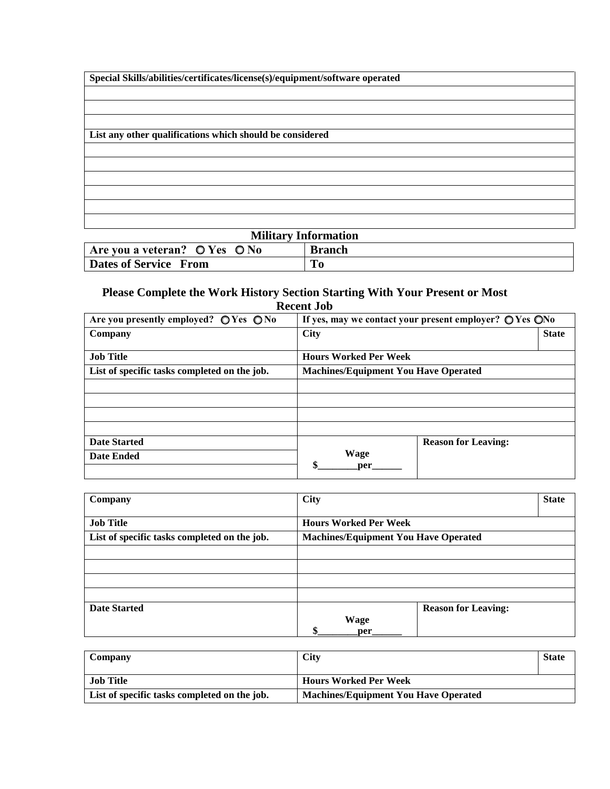| Special Skills/abilities/certificates/license(s)/equipment/software operated |  |  |
|------------------------------------------------------------------------------|--|--|
|                                                                              |  |  |
|                                                                              |  |  |
|                                                                              |  |  |
| List any other qualifications which should be considered                     |  |  |
|                                                                              |  |  |
|                                                                              |  |  |
|                                                                              |  |  |
|                                                                              |  |  |
|                                                                              |  |  |
|                                                                              |  |  |

| <b>Military Information</b>                                      |  |  |
|------------------------------------------------------------------|--|--|
| Are you a veteran? $\bigcirc$ Yes $\bigcirc$ No<br><b>Branch</b> |  |  |
| Dates of Service From                                            |  |  |

# **Please Complete the Work History Section Starting With Your Present or Most Recent Job**

| Are you presently employed? $\bigcirc$ Yes $\bigcirc$ No | If yes, may we contact your present employer? $\bigcirc$ Yes $\bigcirc$ No |                            |
|----------------------------------------------------------|----------------------------------------------------------------------------|----------------------------|
| Company                                                  | <b>City</b>                                                                | <b>State</b>               |
| <b>Job Title</b>                                         | <b>Hours Worked Per Week</b>                                               |                            |
| List of specific tasks completed on the job.             | <b>Machines/Equipment You Have Operated</b>                                |                            |
|                                                          |                                                                            |                            |
|                                                          |                                                                            |                            |
|                                                          |                                                                            |                            |
|                                                          |                                                                            |                            |
| <b>Date Started</b>                                      |                                                                            | <b>Reason for Leaving:</b> |
| <b>Date Ended</b>                                        | Wage<br>\$<br>per                                                          |                            |

| Company                                      | <b>City</b>                                 |                            | <b>State</b> |
|----------------------------------------------|---------------------------------------------|----------------------------|--------------|
| <b>Job Title</b>                             | <b>Hours Worked Per Week</b>                |                            |              |
| List of specific tasks completed on the job. | <b>Machines/Equipment You Have Operated</b> |                            |              |
|                                              |                                             |                            |              |
|                                              |                                             |                            |              |
|                                              |                                             |                            |              |
|                                              |                                             |                            |              |
| <b>Date Started</b>                          |                                             | <b>Reason for Leaving:</b> |              |
|                                              | Φ.                                          |                            |              |
|                                              | <b>Wage</b><br>per                          |                            |              |

| Company                                      | City                                        | <b>State</b> |
|----------------------------------------------|---------------------------------------------|--------------|
| <b>Job Title</b>                             | <b>Hours Worked Per Week</b>                |              |
| List of specific tasks completed on the job. | <b>Machines/Equipment You Have Operated</b> |              |